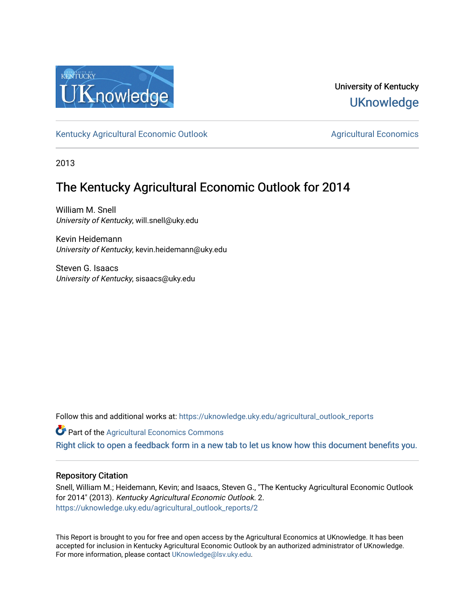

University of Kentucky **UKnowledge** 

[Kentucky Agricultural Economic Outlook](https://uknowledge.uky.edu/agricultural_outlook_reports) [Agricultural Economics](https://uknowledge.uky.edu/agecon) Agricultural Economics

2013

# The Kentucky Agricultural Economic Outlook for 2014

William M. Snell University of Kentucky, will.snell@uky.edu

Kevin Heidemann University of Kentucky, kevin.heidemann@uky.edu

Steven G. Isaacs University of Kentucky, sisaacs@uky.edu

Follow this and additional works at: [https://uknowledge.uky.edu/agricultural\\_outlook\\_reports](https://uknowledge.uky.edu/agricultural_outlook_reports?utm_source=uknowledge.uky.edu%2Fagricultural_outlook_reports%2F2&utm_medium=PDF&utm_campaign=PDFCoverPages) 

**Part of the Agricultural Economics Commons** 

[Right click to open a feedback form in a new tab to let us know how this document benefits you.](https://uky.az1.qualtrics.com/jfe/form/SV_9mq8fx2GnONRfz7)

## Repository Citation

Snell, William M.; Heidemann, Kevin; and Isaacs, Steven G., "The Kentucky Agricultural Economic Outlook for 2014" (2013). Kentucky Agricultural Economic Outlook. 2. [https://uknowledge.uky.edu/agricultural\\_outlook\\_reports/2](https://uknowledge.uky.edu/agricultural_outlook_reports/2?utm_source=uknowledge.uky.edu%2Fagricultural_outlook_reports%2F2&utm_medium=PDF&utm_campaign=PDFCoverPages) 

This Report is brought to you for free and open access by the Agricultural Economics at UKnowledge. It has been accepted for inclusion in Kentucky Agricultural Economic Outlook by an authorized administrator of UKnowledge. For more information, please contact [UKnowledge@lsv.uky.edu.](mailto:UKnowledge@lsv.uky.edu)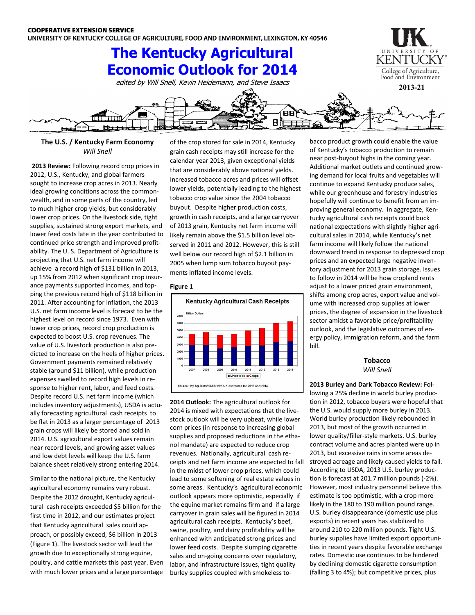# **The Kentucky Agricultural Economic Outlook for 2014**

edited by Will Snell, Kevin Heidemann, and Steve Isaacs





### **The U.S. / Kentucky Farm Economy** *Will Snell*

**2013 Review:** Following record crop prices in 2012, U.S., Kentucky, and global farmers sought to increase crop acres in 2013. Nearly ideal growing conditions across the commonwealth, and in some parts of the country, led to much higher crop yields, but considerably lower crop prices. On the livestock side, tight supplies, sustained strong export markets, and lower feed costs late in the year contributed to continued price strength and improved profitability. The U. S. Department of Agriculture is projecting that U.S. net farm income will achieve a record high of \$131 billion in 2013, up 15% from 2012 when significant crop insurance payments supported incomes, and topping the previous record high of \$118 billion in 2011. After accounting for inflation, the 2013 U.S. net farm income level is forecast to be the highest level on record since 1973. Even with lower crop prices, record crop production is expected to boost U.S. crop revenues. The value of U.S. livestock production is also predicted to increase on the heels of higher prices. Government payments remained relatively stable (around \$11 billion), while production expenses swelled to record high levels in response to higher rent, labor, and feed costs. Despite record U.S. net farm income (which includes inventory adjustments), USDA is actually forecasting agricultural cash receipts to be flat in 2013 as a larger percentage of 2013 grain crops will likely be stored and sold in 2014. U.S. agricultural export values remain near record levels, and growing asset values and low debt levels will keep the U.S. farm balance sheet relatively strong entering 2014.

Similar to the national picture, the Kentucky agricultural economy remains very robust. Despite the 2012 drought, Kentucky agricultural cash receipts exceeded \$5 billion for the first time in 2012, and our estimates project that Kentucky agricultural sales could approach, or possibly exceed, \$6 billion in 2013 (Figure 1). The livestock sector will lead the growth due to exceptionally strong equine, poultry, and cattle markets this past year. Even with much lower prices and a large percentage

of the crop stored for sale in 2014, Kentucky grain cash receipts may still increase for the calendar year 2013, given exceptional yields that are considerably above national yields. Increased tobacco acres and prices will offset lower yields, potentially leading to the highest tobacco crop value since the 2004 tobacco buyout. Despite higher production costs, growth in cash receipts, and a large carryover of 2013 grain, Kentucky net farm income will likely remain above the \$1.5 billion level observed in 2011 and 2012. However, this is still well below our record high of \$2.1 billion in 2005 when lump sum tobacco buyout payments inflated income levels.

#### **Figure 1**



**2014 Outlook:** The agricultural outlook for 2014 is mixed with expectations that the livestock outlook will be very upbeat, while lower corn prices (in response to increasing global supplies and proposed reductions in the ethanol mandate) are expected to reduce crop revenues. Nationally, agricultural cash receipts and net farm income are expected to fall in the midst of lower crop prices, which could lead to some softening of real estate values in some areas. Kentucky's agricultural economic outlook appears more optimistic, especially if the equine market remains firm and if a large carryover in grain sales will be figured in 2014 agricultural cash receipts. Kentucky's beef, swine, poultry, and dairy profitability will be enhanced with anticipated strong prices and lower feed costs. Despite slumping cigarette sales and on-going concerns over regulatory, labor, and infrastructure issues, tight quality burley supplies coupled with smokeless tobacco product growth could enable the value of Kentucky's tobacco production to remain near post-buyout highs in the coming year. Additional market outlets and continued growing demand for local fruits and vegetables will continue to expand Kentucky produce sales, while our greenhouse and forestry industries hopefully will continue to benefit from an improving general economy. In aggregate, Kentucky agricultural cash receipts could buck national expectations with slightly higher agricultural sales in 2014, while Kentucky's net farm income will likely follow the national downward trend in response to depressed crop prices and an expected large negative inventory adjustment for 2013 grain storage. Issues to follow in 2014 will be how cropland rents adjust to a lower priced grain environment, shifts among crop acres, export value and volume with increased crop supplies at lower prices, the degree of expansion in the livestock sector amidst a favorable price/profitability outlook, and the legislative outcomes of energy policy, immigration reform, and the farm bill.

> **Tobacco** *Will Snell*

**2013 Burley and Dark Tobacco Review:** Following a 25% decline in world burley production in 2012, tobacco buyers were hopeful that the U.S. would supply more burley in 2013. World burley production likely rebounded in 2013, but most of the growth occurred in lower quality/filler-style markets. U.S. burley contract volume and acres planted were up in 2013, but excessive rains in some areas destroyed acreage and likely caused yields to fall. According to USDA, 2013 U.S. burley production is forecast at 201.7 million pounds (-2%). However, most industry personnel believe this estimate is too optimistic, with a crop more likely in the 180 to 190 million pound range. U.S. burley disappearance (domestic use plus exports) in recent years has stabilized to around 210 to 220 million pounds. Tight U.S. burley supplies have limited export opportunities in recent years despite favorable exchange rates. Domestic use continues to be hindered by declining domestic cigarette consumption (falling 3 to 4%); but competitive prices, plus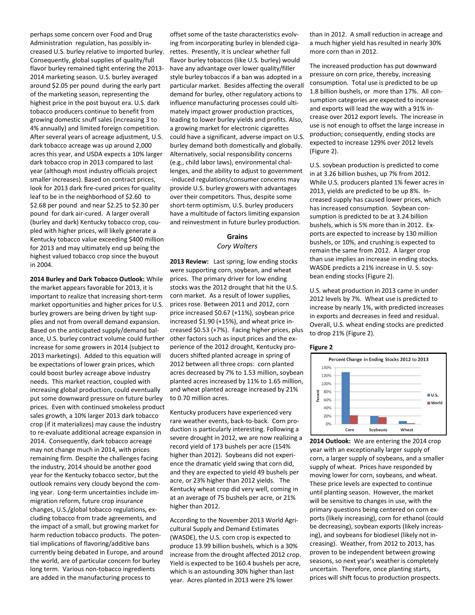perhaps some concern over Food and Drug Administration regulation, has possibly increased U.S. burley relative to imported burley. Consequently, global supplies of quality/full flavor burley remained tight entering the 2013- 2014 marketing season. U.S. burley averaged around \$2.05 per pound during the early part of the marketing season, representing the highest price in the post buyout era. U.S. dark tobacco producers continue to benefit from growing domestic snuff sales (increasing 3 to 4% annually) and limited foreign competition. After several years of acreage adjustment, U.S. dark tobacco acreage was up around 2,000 acres this year, and USDA expects a 10% larger dark tobacco crop in 2013 compared to last year (although most industry officials project smaller increases). Based on contract prices, look for 2013 dark fire-cured prices for quality leaf to be in the neighborhood of \$2.60 to \$2.68 per pound and near \$2.25 to \$2.30 per pound for dark air-cured. A larger overall (burley and dark) Kentucky tobacco crop, coupled with higher prices, will likely generate a Kentucky tobacco value exceeding \$400 million for 2013 and may ultimately end up being the highest valued tobacco crop since the buyout in 2004.

**2014 Burley and Dark Tobacco Outlook:** While the market appears favorable for 2013, it is important to realize that increasing short-term market opportunities and higher prices for U.S. burley growers are being driven by tight supplies and not from overall demand expansion. Based on the anticipated supply/demand balance, U.S. burley contract volume could further increase for some growers in 2014 (subject to 2013 marketings). Added to this equation will be expectations of lower grain prices, which could boost burley acreage above industry needs. This market reaction, coupled with increasing global production, could eventually put some downward pressure on future burley prices. Even with continued smokeless product sales growth, a 10% larger 2013 dark tobacco crop (if it materializes) may cause the industry to re-evaluate additional acreage expansion in 2014. Consequently, dark tobacco acreage may not change much in 2014, with prices remaining firm. Despite the challenges facing the industry, 2014 should be another good year for the Kentucky tobacco sector, but the outlook remains very cloudy beyond the coming year. Long-term uncertainties include immigration reform, future crop insurance changes, U.S./global tobacco regulations, excluding tobacco from trade agreements, and the impact of a small, but growing market for harm reduction tobacco products. The potential implications of flavoring/additive bans currently being debated in Europe, and around the world, are of particular concern for burley long term. Various non-tobacco ingredients are added in the manufacturing process to

offset some of the taste characteristics evolving from incorporating burley in blended cigarettes. Presently, it is unclear whether full flavor burley tobaccos (like U.S. burley) would have any advantage over lower quality/filler style burley tobaccos if a ban was adopted in a particular market. Besides affecting the overall demand for burley, other regulatory actions to influence manufacturing processes could ultimately impact grower production practices, leading to lower burley yields and profits. Also, a growing market for electronic cigarettes could have a significant, adverse impact on U.S. burley demand both domestically and globally. Alternatively, social responsibility concerns (e.g., child labor laws), environmental challenges, and the ability to adjust to government -induced regulations/consumer concerns may provide U.S. burley growers with advantages over their competitors. Thus, despite some short-term optimism, U.S. burley producers have a multitude of factors limiting expansion and reinvestment in future burley production.

#### **Grains** *Cory Walters*

**2013 Review:** Last spring, low ending stocks were supporting corn, soybean, and wheat prices. The primary driver for low ending stocks was the 2012 drought that hit the U.S. corn market. As a result of lower supplies, prices rose. Between 2011 and 2012, corn price increased \$0.67 (+11%), soybean price increased \$1.90 (+15%), and wheat price increased \$0.53 (+7%). Facing higher prices, plus other factors such as input prices and the experience of the 2012 drought, Kentucky producers shifted planted acreage in spring of 2012 between all three crops: corn planted acres decreased by 7% to 1.53 million, soybean planted acres increased by 11% to 1.65 million, and wheat planted acreage increased by 21% to 0.70 million acres.

Kentucky producers have experienced very rare weather events, back-to-back. Corn production is particularly interesting. Following a severe drought in 2012, we are now realizing a record yield of 173 bushels per acre (154% higher than 2012). Soybeans did not experience the dramatic yield swing that corn did, and they are expected to yield 49 bushels per acre, or 23% higher than 2012 yields. The Kentucky wheat crop did very well, coming in at an average of 75 bushels per acre, or 21% higher than 2012.

According to the November 2013 World Agricultural Supply and Demand Estimates (WASDE), the U.S. corn crop is expected to produce 13.99 billion bushels, which is a 30% increase from the drought affected 2012 crop. Yield is expected to be 160.4 bushels per acre, which is an astounding 30% higher than last year. Acres planted in 2013 were 2% lower

than in 2012. A small reduction in acreage and a much higher yield has resulted in nearly 30% more corn than in 2012.

The increased production has put downward pressure on corn price, thereby, increasing consumption. Total use is predicted to be up 1.8 billion bushels, or more than 17%. All consumption categories are expected to increase and exports will lead the way with a 91% increase over 2012 export levels. The increase in use is not enough to offset the large increase in production; consequently, ending stocks are expected to increase 129% over 2012 levels (Figure 2).

U.S. soybean production is predicted to come in at 3.26 billion bushes, up 7% from 2012. While U.S. producers planted 1% fewer acres in 2013, yields are predicted to be up 8%. Increased supply has caused lower prices, which has increased consumption. Soybean consumption is predicted to be at 3.24 billion bushels, which is 5% more than in 2012. Exports are expected to increase by 130 million bushels, or 10%, and crushing is expected to remain the same from 2012. A larger crop than use implies an increase in ending stocks. WASDE predicts a 21% increase in U. S. soybean ending stocks (Figure 2).

U.S. wheat production in 2013 came in under 2012 levels by 7%. Wheat use is predicted to increase by nearly 1%, with predicted increases in exports and decreases in feed and residual. Overall, U.S. wheat ending stocks are predicted to drop 21% (Figure 2).

#### **Figure 2**



**2014 Outlook:** We are entering the 2014 crop year with an exceptionally larger supply of corn, a larger supply of soybeans, and a smaller supply of wheat. Prices have responded by moving lower for corn, soybeans, and wheat. These price levels are expected to continue until planting season. However, the market will be sensitive to changes in use, with the primary questions being centered on corn exports (likely increasing), corn for ethanol (could be decreasing), soybean exports (likely increasing), and soybeans for biodiesel (likely not increasing). Weather, from 2012 to 2013, has proven to be independent between growing seasons, so next year's weather is completely uncertain. Therefore, once planting starts, prices will shift focus to production prospects.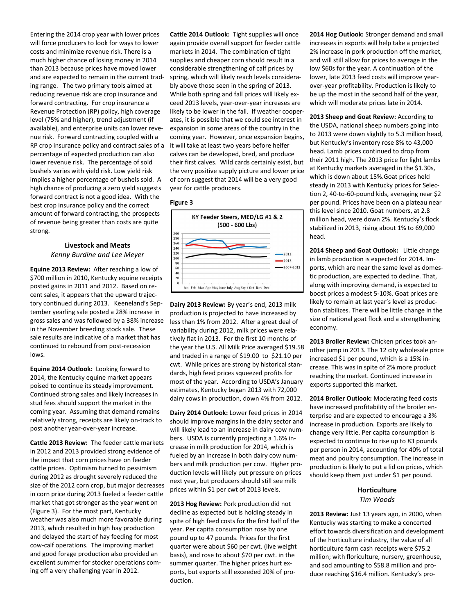Entering the 2014 crop year with lower prices will force producers to look for ways to lower costs and minimize revenue risk. There is a much higher chance of losing money in 2014 than 2013 because prices have moved lower and are expected to remain in the current trading range. The two primary tools aimed at reducing revenue risk are crop insurance and forward contracting. For crop insurance a Revenue Protection (RP) policy, high coverage level (75% and higher), trend adjustment (if available), and enterprise units can lower revenue risk. Forward contracting coupled with a RP crop insurance policy and contract sales of a percentage of expected production can also lower revenue risk. The percentage of sold bushels varies with yield risk. Low yield risk implies a higher percentage of bushels sold. A high chance of producing a zero yield suggests forward contract is not a good idea. With the best crop insurance policy and the correct amount of forward contracting, the prospects of revenue being greater than costs are quite strong.

## **Livestock and Meats**

*Kenny Burdine and Lee Meyer*

**Equine 2013 Review:** After reaching a low of \$700 million in 2010, Kentucky equine receipts posted gains in 2011 and 2012. Based on recent sales, it appears that the upward trajectory continued during 2013. Keeneland's September yearling sale posted a 28% increase in gross sales and was followed by a 38% increase in the November breeding stock sale. These sale results are indicative of a market that has continued to rebound from post-recession lows.

**Equine 2014 Outlook:** Looking forward to 2014, the Kentucky equine market appears poised to continue its steady improvement. Continued strong sales and likely increases in stud fees should support the market in the coming year. Assuming that demand remains relatively strong, receipts are likely on-track to post another year-over-year increase.

**Cattle 2013 Review:** The feeder cattle markets in 2012 and 2013 provided strong evidence of the impact that corn prices have on feeder cattle prices. Optimism turned to pessimism during 2012 as drought severely reduced the size of the 2012 corn crop, but major decreases in corn price during 2013 fueled a feeder cattle market that got stronger as the year went on (Figure 3). For the most part, Kentucky weather was also much more favorable during 2013, which resulted in high hay production and delayed the start of hay feeding for most cow-calf operations. The improving market and good forage production also provided an excellent summer for stocker operations coming off a very challenging year in 2012.

**Cattle 2014 Outlook:** Tight supplies will once again provide overall support for feeder cattle markets in 2014. The combination of tight supplies and cheaper corn should result in a considerable strengthening of calf prices by spring, which will likely reach levels considerably above those seen in the spring of 2013. While both spring and fall prices will likely exceed 2013 levels, year-over-year increases are likely to be lower in the fall. If weather cooperates, it is possible that we could see interest in expansion in some areas of the country in the coming year. However, once expansion begins, it will take at least two years before heifer calves can be developed, bred, and produce their first calves. Wild cards certainly exist, but the very positive supply picture and lower price of corn suggest that 2014 will be a very good year for cattle producers.

#### **Figure 3**



**Dairy 2013 Review:** By year's end, 2013 milk production is projected to have increased by less than 1% from 2012. After a great deal of variability during 2012, milk prices were relatively flat in 2013. For the first 10 months of the year the U.S. All Milk Price averaged \$19.58 and traded in a range of \$19.00 to \$21.10 per cwt. While prices are strong by historical standards, high feed prices squeezed profits for most of the year. According to USDA's January estimates, Kentucky began 2013 with 72,000 dairy cows in production, down 4% from 2012.

**Dairy 2014 Outlook:** Lower feed prices in 2014 should improve margins in the dairy sector and will likely lead to an increase in dairy cow numbers. USDA is currently projecting a 1.6% increase in milk production for 2014, which is fueled by an increase in both dairy cow numbers and milk production per cow. Higher production levels will likely put pressure on prices next year, but producers should still see milk prices within \$1 per cwt of 2013 levels.

**2013 Hog Review:** Pork production did not decline as expected but is holding steady in spite of high feed costs for the first half of the year. Per capita consumption rose by one pound up to 47 pounds. Prices for the first quarter were about \$60 per cwt. (live weight basis), and rose to about \$70 per cwt. in the summer quarter. The higher prices hurt exports, but exports still exceeded 20% of production.

**2014 Hog Outlook:** Stronger demand and small increases in exports will help take a projected 2% increase in pork production off the market, and will still allow for prices to average in the low \$60s for the year. A continuation of the lower, late 2013 feed costs will improve yearover-year profitability. Production is likely to be up the most in the second half of the year, which will moderate prices late in 2014.

**2013 Sheep and Goat Review:** According to the USDA, national sheep numbers going into to 2013 were down slightly to 5.3 million head, but Kentucky's inventory rose 8% to 43,000 head. Lamb prices continued to drop from their 2011 high. The 2013 price for light lambs at Kentucky markets averaged in the \$1.30s, which is down about 15%.Goat prices held steady in 2013 with Kentucky prices for Selection 2, 40-to-60-pound kids, averaging near \$2 per pound. Prices have been on a plateau near this level since 2010. Goat numbers, at 2.8 million head, were down 2%. Kentucky's flock stabilized in 2013, rising about 1% to 69,000 head.

**2014 Sheep and Goat Outlook:** Little change in lamb production is expected for 2014. Imports, which are near the same level as domestic production, are expected to decline. That, along with improving demand, is expected to boost prices a modest 5-10%. Goat prices are likely to remain at last year's level as production stabilizes. There will be little change in the size of national goat flock and a strengthening economy.

**2013 Broiler Review:** Chicken prices took another jump in 2013. The 12 city wholesale price increased \$1 per pound, which is a 15% increase. This was in spite of 2% more product reaching the market. Continued increase in exports supported this market.

**2014 Broiler Outlook:** Moderating feed costs have increased profitability of the broiler enterprise and are expected to encourage a 3% increase in production. Exports are likely to change very little. Per capita consumption is expected to continue to rise up to 83 pounds per person in 2014, accounting for 40% of total meat and poultry consumption. The increase in production is likely to put a lid on prices, which should keep them just under \$1 per pound.

### **Horticulture** *Tim Woods*

**2013 Review:** Just 13 years ago, in 2000, when Kentucky was starting to make a concerted effort towards diversification and development of the horticulture industry, the value of all horticulture farm cash receipts were \$75.2 million; with floriculture, nursery, greenhouse, and sod amounting to \$58.8 million and produce reaching \$16.4 million. Kentucky's pro-